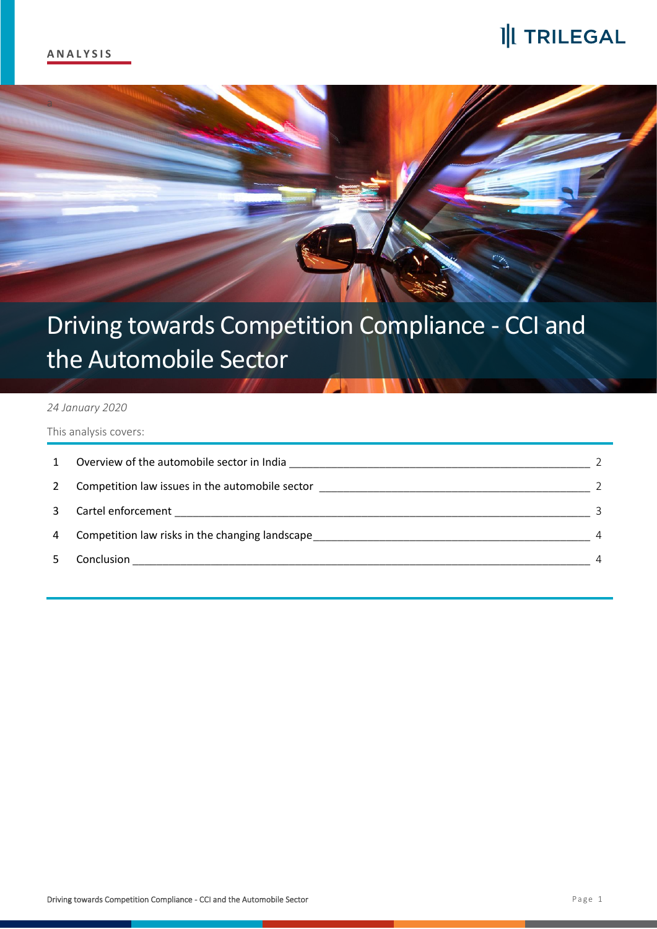## 1 TRILEGAL



# Driving towards Competition Compliance - CCI and the Automobile Sector

#### *24 January 2020*

This analysis covers:

| $\mathbf{1}$ | Overview of the automobile sector in India      |               |
|--------------|-------------------------------------------------|---------------|
| 2            | Competition law issues in the automobile sector | $\mathcal{L}$ |
| 3            |                                                 | 3             |
| 4            | Competition law risks in the changing landscape |               |
|              | Conclusion                                      | 4             |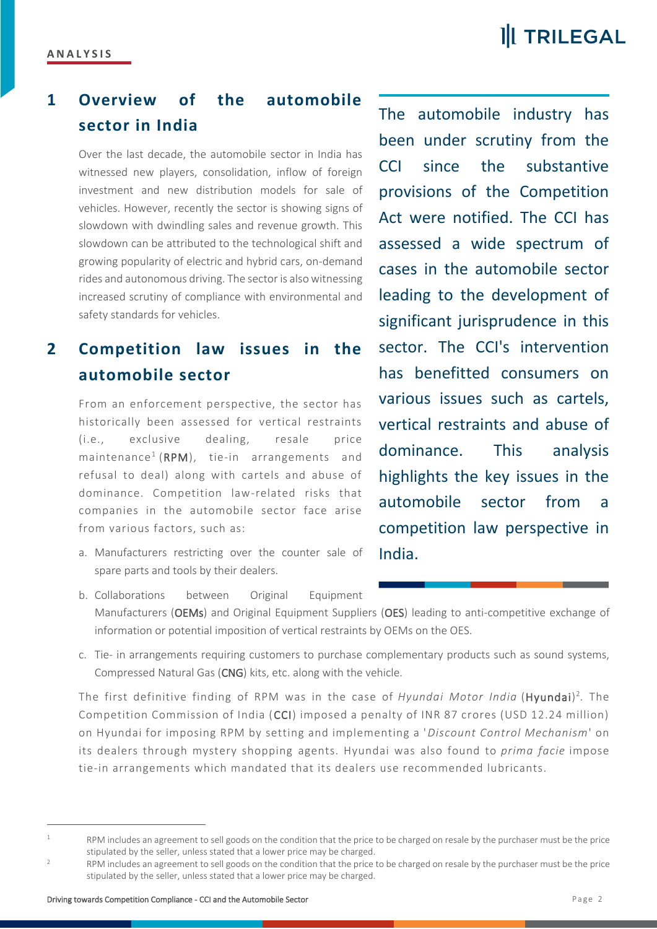### <span id="page-1-0"></span>**1 Overview of the automobile sector in India**

Over the last decade, the automobile sector in India has witnessed new players, consolidation, inflow of foreign investment and new distribution models for sale of vehicles. However, recently the sector is showing signs of slowdown with dwindling sales and revenue growth. This slowdown can be attributed to the technological shift and growing popularity of electric and hybrid cars, on-demand rides and autonomous driving. The sector is also witnessing increased scrutiny of compliance with environmental and safety standards for vehicles.

#### <span id="page-1-1"></span>**2 Competition law issues in the automobile sector**

From an enforcement perspective, the sector has historically been assessed for vertical restraints (i.e., exclusive dealing, resale price maintenance<sup>1</sup> (RPM), tie-in arrangements and refusal to deal) along with cartels and abuse of dominance. Competition law-related risks that companies in the automobile sector face arise from various factors, such as:

a. Manufacturers restricting over the counter sale of spare parts and tools by their dealers.

The automobile industry has been under scrutiny from the CCI since the substantive provisions of the Competition Act were notified. The CCI has assessed a wide spectrum of cases in the automobile sector leading to the development of significant jurisprudence in this sector. The CCI's intervention has benefitted consumers on various issues such as cartels, vertical restraints and abuse of dominance. This analysis highlights the key issues in the automobile sector from a competition law perspective in India.

- b. Collaborations between Original Equipment Manufacturers (OEMs) and Original Equipment Suppliers (OES) leading to anti-competitive exchange of information or potential imposition of vertical restraints by OEMs on the OES.
- c. Tie- in arrangements requiring customers to purchase complementary products such as sound systems, Compressed Natural Gas (CNG) kits, etc. along with the vehicle.

The first definitive finding of RPM was in the case of *Hyundai Motor India* (Hyundai) 2 . The Competition Commission of India (CCI) imposed a penalty of INR 87 crores (USD 12.24 million) on Hyundai for imposing RPM by setting and implementing a '*Discount Control Mechanism*' on its dealers through mystery shopping agents. Hyundai was also found to *prima facie* impose tie-in arrangements which mandated that its dealers use recommended lubricants.

RPM includes an agreement to sell goods on the condition that the price to be charged on resale by the purchaser must be the price stipulated by the seller, unless stated that a lower price may be charged.

RPM includes an agreement to sell goods on the condition that the price to be charged on resale by the purchaser must be the price stipulated by the seller, unless stated that a lower price may be charged.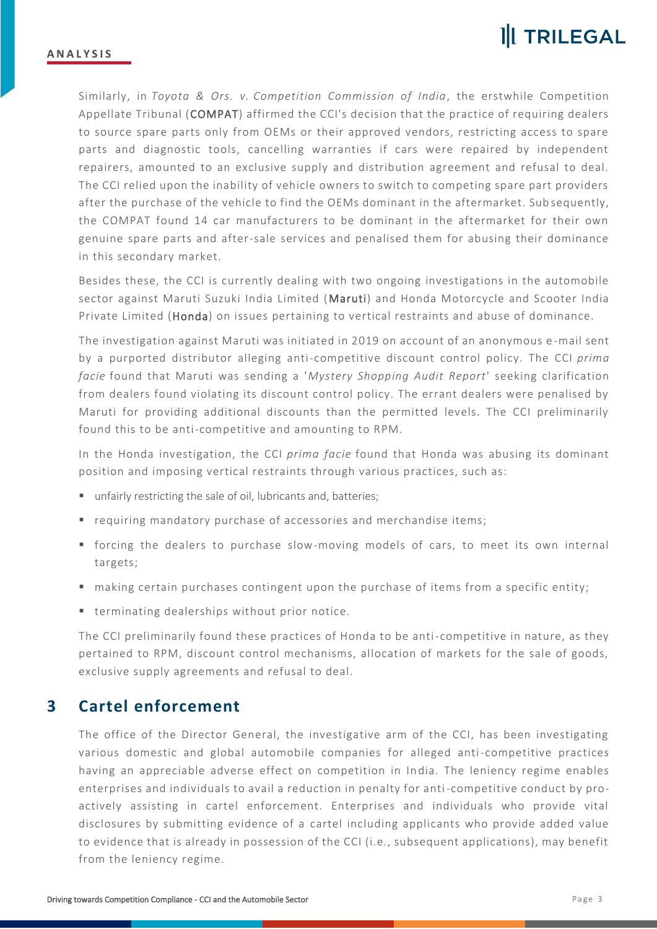

Similarly, in *Toyota & Ors. v. Competition Commission of India*, the erstwhile Competition Appellate Tribunal (COMPAT) affirmed the CCI's decision that the practice of requiring dealers to source spare parts only from OEMs or their approved vendors, restricting access to spare parts and diagnostic tools, cancelling warranties if cars were repaired by independent repairers, amounted to an exclusive supply and distribution agreement and refusal to deal. The CCI relied upon the inability of vehicle owners to switch to competing spare part providers after the purchase of the vehicle to find the OEMs dominant in the aftermarket. Sub sequently, the COMPAT found 14 car manufacturers to be dominant in the aftermarket for their own genuine spare parts and after-sale services and penalised them for abusing their dominance in this secondary market.

Besides these, the CCI is currently dealing with two ongoing investigations in the automobile sector against Maruti Suzuki India Limited (Maruti) and Honda Motorcycle and Scooter India Private Limited (Honda) on issues pertaining to vertical restraints and abuse of dominance.

The investigation against Maruti was initiated in 2019 on account of an anonymous e -mail sent by a purported distributor alleging anti-competitive discount control policy. The CCI *prima facie* found that Maruti was sending a '*Mystery Shopping Audit Report*' seeking clarification from dealers found violating its discount control policy. The errant dealers were penalised by Maruti for providing additional discounts than the permitted levels. The CCI preliminarily found this to be anti-competitive and amounting to RPM.

In the Honda investigation, the CCI *prima facie* found that Honda was abusing its dominant position and imposing vertical restraints through various practices, such as:

- unfairly restricting the sale of oil, lubricants and, batteries;
- requiring mandatory purchase of accessories and merchandise items;
- forcing the dealers to purchase slow-moving models of cars, to meet its own internal targets;
- making certain purchases contingent upon the purchase of items from a specific entity;
- terminating dealerships without prior notice.

The CCI preliminarily found these practices of Honda to be anti-competitive in nature, as they pertained to RPM, discount control mechanisms, allocation of markets for the sale of goods, exclusive supply agreements and refusal to deal.

#### <span id="page-2-0"></span>**3 Cartel enforcement**

The office of the Director General, the investigative arm of the CCI, has been investigating various domestic and global automobile companies for alleged anti-competitive practices having an appreciable adverse effect on competition in India. The leniency regime enables enterprises and individuals to avail a reduction in penalty for anti-competitive conduct by proactively assisting in cartel enforcement. Enterprises and individuals who provide vital disclosures by submitting evidence of a cartel including applicants who provide added value to evidence that is already in possession of the CCI (i.e., subsequent applications), may benefit from the leniency regime.